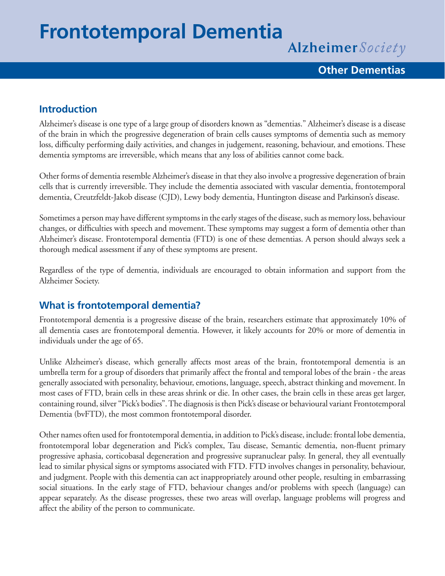# **Frontotemporal Dementia**

Alzheimer Society

#### **Other Dementias**

#### **Introduction**

Alzheimer's disease is one type of a large group of disorders known as "dementias." Alzheimer's disease is a disease of the brain in which the progressive degeneration of brain cells causes symptoms of dementia such as memory loss, difficulty performing daily activities, and changes in judgement, reasoning, behaviour, and emotions. These dementia symptoms are irreversible, which means that any loss of abilities cannot come back.

Other forms of dementia resemble Alzheimer's disease in that they also involve a progressive degeneration of brain cells that is currently irreversible. They include the dementia associated with vascular dementia, frontotemporal dementia, Creutzfeldt-Jakob disease (CJD), Lewy body dementia, Huntington disease and Parkinson's disease.

Sometimes a person may have different symptoms in the early stages of the disease, such as memory loss, behaviour changes, or difficulties with speech and movement. These symptoms may suggest a form of dementia other than Alzheimer's disease. Frontotemporal dementia (FTD) is one of these dementias. A person should always seek a thorough medical assessment if any of these symptoms are present.

Regardless of the type of dementia, individuals are encouraged to obtain information and support from the Alzheimer Society.

#### **What is frontotemporal dementia?**

Frontotemporal dementia is a progressive disease of the brain, researchers estimate that approximately 10% of all dementia cases are frontotemporal dementia. However, it likely accounts for 20% or more of dementia in individuals under the age of 65.

Unlike Alzheimer's disease, which generally affects most areas of the brain, frontotemporal dementia is an umbrella term for a group of disorders that primarily affect the frontal and temporal lobes of the brain - the areas generally associated with personality, behaviour, emotions, language, speech, abstract thinking and movement. In most cases of FTD, brain cells in these areas shrink or die. In other cases, the brain cells in these areas get larger, containing round, silver "Pick's bodies". The diagnosis is then Pick's disease or behavioural variant Frontotemporal Dementia (bvFTD), the most common frontotemporal disorder.

Other names often used for frontotemporal dementia, in addition to Pick's disease, include: frontal lobe dementia, frontotemporal lobar degeneration and Pick's complex, Tau disease, Semantic dementia, non-fluent primary progressive aphasia, corticobasal degeneration and progressive supranuclear palsy. In general, they all eventually lead to similar physical signs or symptoms associated with FTD. FTD involves changes in personality, behaviour, and judgment. People with this dementia can act inappropriately around other people, resulting in embarrassing social situations. In the early stage of FTD, behaviour changes and/or problems with speech (language) can appear separately. As the disease progresses, these two areas will overlap, language problems will progress and affect the ability of the person to communicate.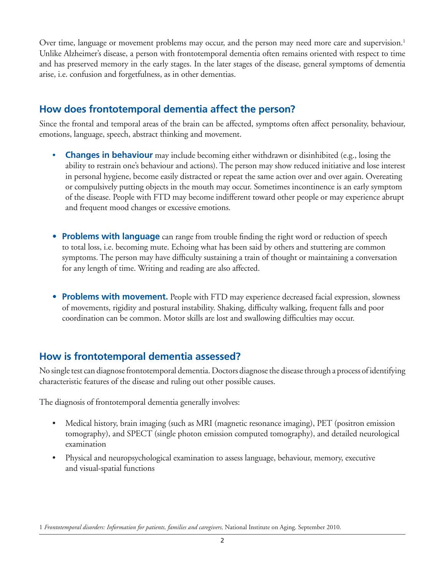Over time, language or movement problems may occur, and the person may need more care and supervision.<sup>1</sup> Unlike Alzheimer's disease, a person with frontotemporal dementia often remains oriented with respect to time and has preserved memory in the early stages. In the later stages of the disease, general symptoms of dementia arise, i.e. confusion and forgetfulness, as in other dementias.

### **How does frontotemporal dementia affect the person?**

Since the frontal and temporal areas of the brain can be affected, symptoms often affect personality, behaviour, emotions, language, speech, abstract thinking and movement.

- **Changes in behaviour** may include becoming either withdrawn or disinhibited (e.g., losing the ability to restrain one's behaviour and actions). The person may show reduced initiative and lose interest in personal hygiene, become easily distracted or repeat the same action over and over again. Overeating or compulsively putting objects in the mouth may occur. Sometimes incontinence is an early symptom of the disease. People with FTD may become indifferent toward other people or may experience abrupt and frequent mood changes or excessive emotions.
- **Problems with language** can range from trouble finding the right word or reduction of speech to total loss, i.e. becoming mute. Echoing what has been said by others and stuttering are common symptoms. The person may have difficulty sustaining a train of thought or maintaining a conversation for any length of time. Writing and reading are also affected.
- **Problems with movement.** People with FTD may experience decreased facial expression, slowness of movements, rigidity and postural instability. Shaking, difficulty walking, frequent falls and poor coordination can be common. Motor skills are lost and swallowing difficulties may occur.

#### **How is frontotemporal dementia assessed?**

No single test can diagnose frontotemporal dementia. Doctors diagnose the disease through a process of identifying characteristic features of the disease and ruling out other possible causes.

The diagnosis of frontotemporal dementia generally involves:

- Medical history, brain imaging (such as MRI (magnetic resonance imaging), PET (positron emission tomography), and SPECT (single photon emission computed tomography), and detailed neurological examination
- Physical and neuropsychological examination to assess language, behaviour, memory, executive and visual-spatial functions

<sup>1</sup> *Frontotemporal disorders: Information for patients, families and caregivers,* National Institute on Aging. September 2010.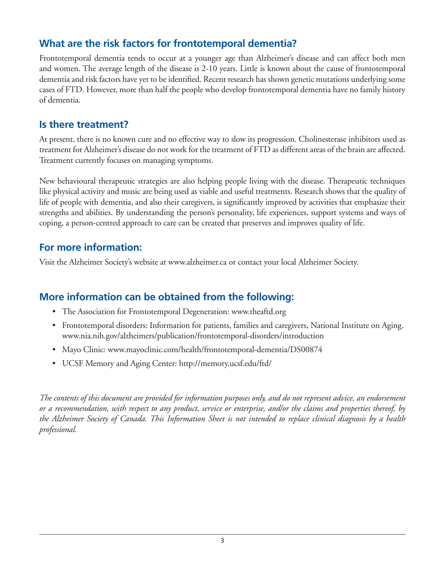# **What are the risk factors for frontotemporal dementia?**

Frontotemporal dementia tends to occur at a younger age than Alzheimer's disease and can affect both men and women. The average length of the disease is 2-10 years. Little is known about the cause of frontotemporal dementia and risk factors have yet to be identified. Recent research has shown genetic mutations underlying some cases of FTD. However, more than half the people who develop frontotemporal dementia have no family history of dementia.

### **Is there treatment?**

At present, there is no known cure and no effective way to slow its progression. Cholinesterase inhibitors used as treatment for Alzheimer's disease do not work for the treatment of FTD as different areas of the brain are affected. Treatment currently focuses on managing symptoms.

New behavioural therapeutic strategies are also helping people living with the disease. Therapeutic techniques like physical activity and music are being used as viable and useful treatments. Research shows that the quality of life of people with dementia, and also their caregivers, is significantly improved by activities that emphasize their strengths and abilities. By understanding the person's personality, life experiences, support systems and ways of coping, a person-centred approach to care can be created that preserves and improves quality of life.

# **For more information:**

Visit the Alzheimer Society's website at www.alzheimer.ca or contact your local Alzheimer Society.

# **More information can be obtained from the following:**

- The Association for Frontotemporal Degeneration: www.theaftd.org
- Frontotemporal disorders: Information for patients, families and caregivers, National Institute on Aging. www.nia.nih.gov/alzheimers/publication/frontotemporal-disorders/introduction
- Mayo Clinic: www.mayoclinic.com/health/frontotemporal-dementia/DS00874
- • UCSF Memory and Aging Center: http://memory.ucsf.edu/ftd/

*The contents of this document are provided for information purposes only, and do not represent advice, an endorsement or a recommendation, with respect to any product, service or enterprise, and/or the claims and properties thereof, by the Alzheimer Society of Canada. This Information Sheet is not intended to replace clinical diagnosis by a health professional.*